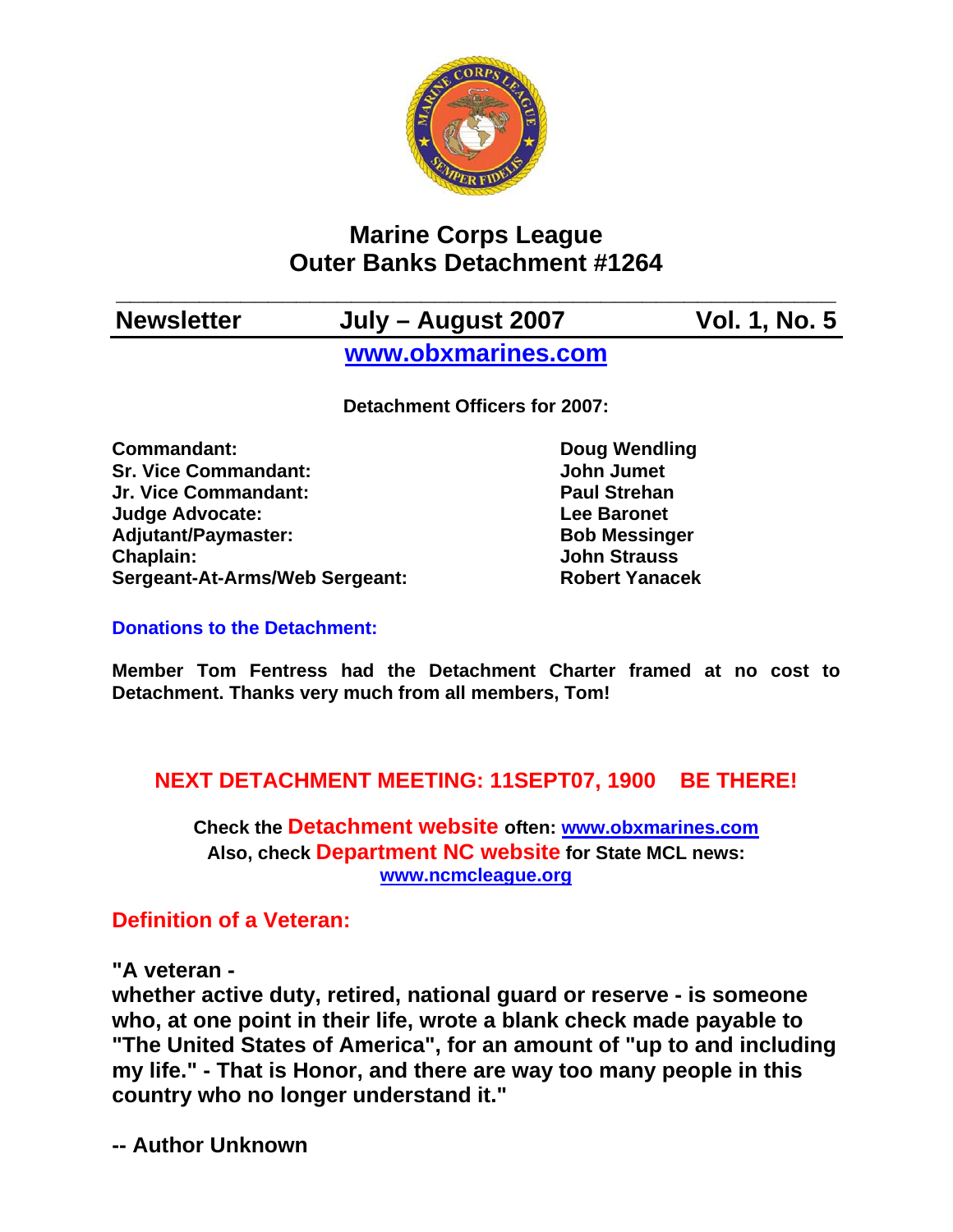

# **Marine Corps League Outer Banks Detachment #1264**

## **\_\_\_\_\_\_\_\_\_\_\_\_\_\_\_\_\_\_\_\_\_\_\_\_\_\_\_\_\_\_\_\_\_\_\_\_\_\_\_\_\_\_\_\_\_\_\_\_\_\_\_\_ Newsletter July – August 2007 Vol. 1, No. 5 [www.obxmarines.com](http://www.obxmarines.com/)**

**Detachment Officers for 2007:** 

**Commandant:** Doug Wendling **Sr. Vice Commandant:** John Jumet **Jr. Vice Commandant: Paul Strehan Judge Advocate: Lee Baronet**  Adjutant/Paymaster: Bob Messinger **Chaplain: John Strauss Sergeant-At-Arms/Web Sergeant: Robert Yanacek**

#### **Donations to the Detachment:**

**Member Tom Fentress had the Detachment Charter framed at no cost to Detachment. Thanks very much from all members, Tom!** 

### **NEXT DETACHMENT MEETING: 11SEPT07, 1900 BE THERE!**

**Check the Detachment website often: [www.obxmarines.com](http://www.obxmarines.com/) Also, check Department NC website for State MCL news: [www.ncmcleague.org](http://www.ncmcleague.org/)**

### **Definition of a Veteran:**

**"A veteran -** 

**whether active duty, retired, national guard or reserve - is someone who, at one point in their life, wrote a blank check made payable to "The United States of America", for an amount of "up to and including my life." - That is Honor, and there are way too many people in this country who no longer understand it."** 

**-- Author Unknown**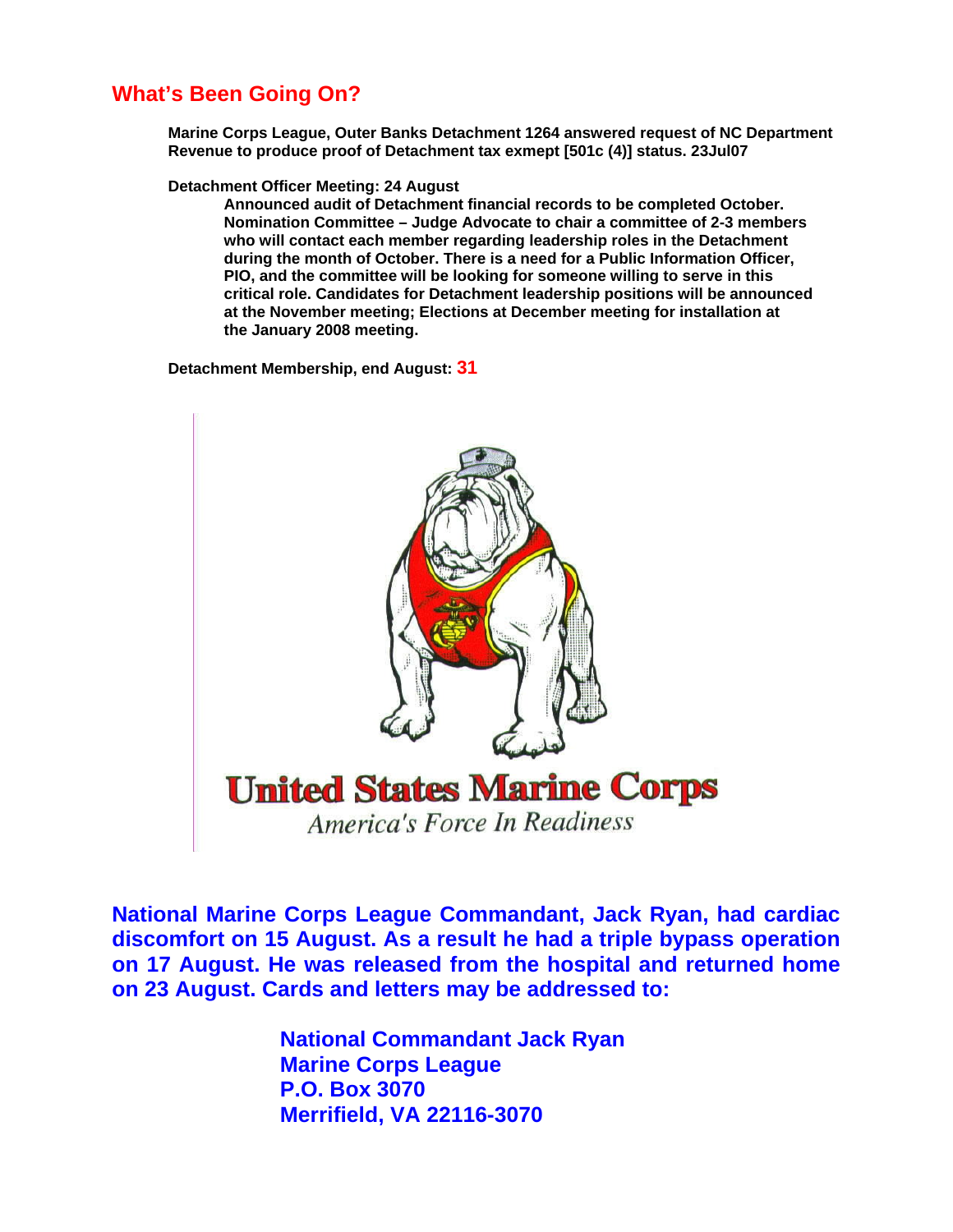### **What's Been Going On?**

**Marine Corps League, Outer Banks Detachment 1264 answered request of NC Department Revenue to produce proof of Detachment tax exmept [501c (4)] status. 23Jul07** 

**Detachment Officer Meeting: 24 August** 

**Announced audit of Detachment financial records to be completed October. Nomination Committee – Judge Advocate to chair a committee of 2-3 members who will contact each member regarding leadership roles in the Detachment during the month of October. There is a need for a Public Information Officer, PIO, and the committee will be looking for someone willing to serve in this critical role. Candidates for Detachment leadership positions will be announced at the November meeting; Elections at December meeting for installation at the January 2008 meeting.** 

**Detachment Membership, end August: 31**



**National Marine Corps League Commandant, Jack Ryan, had cardiac discomfort on 15 August. As a result he had a triple bypass operation on 17 August. He was released from the hospital and returned home on 23 August. Cards and letters may be addressed to:** 

> **National Commandant Jack Ryan Marine Corps League P.O. Box 3070 Merrifield, VA 22116-3070**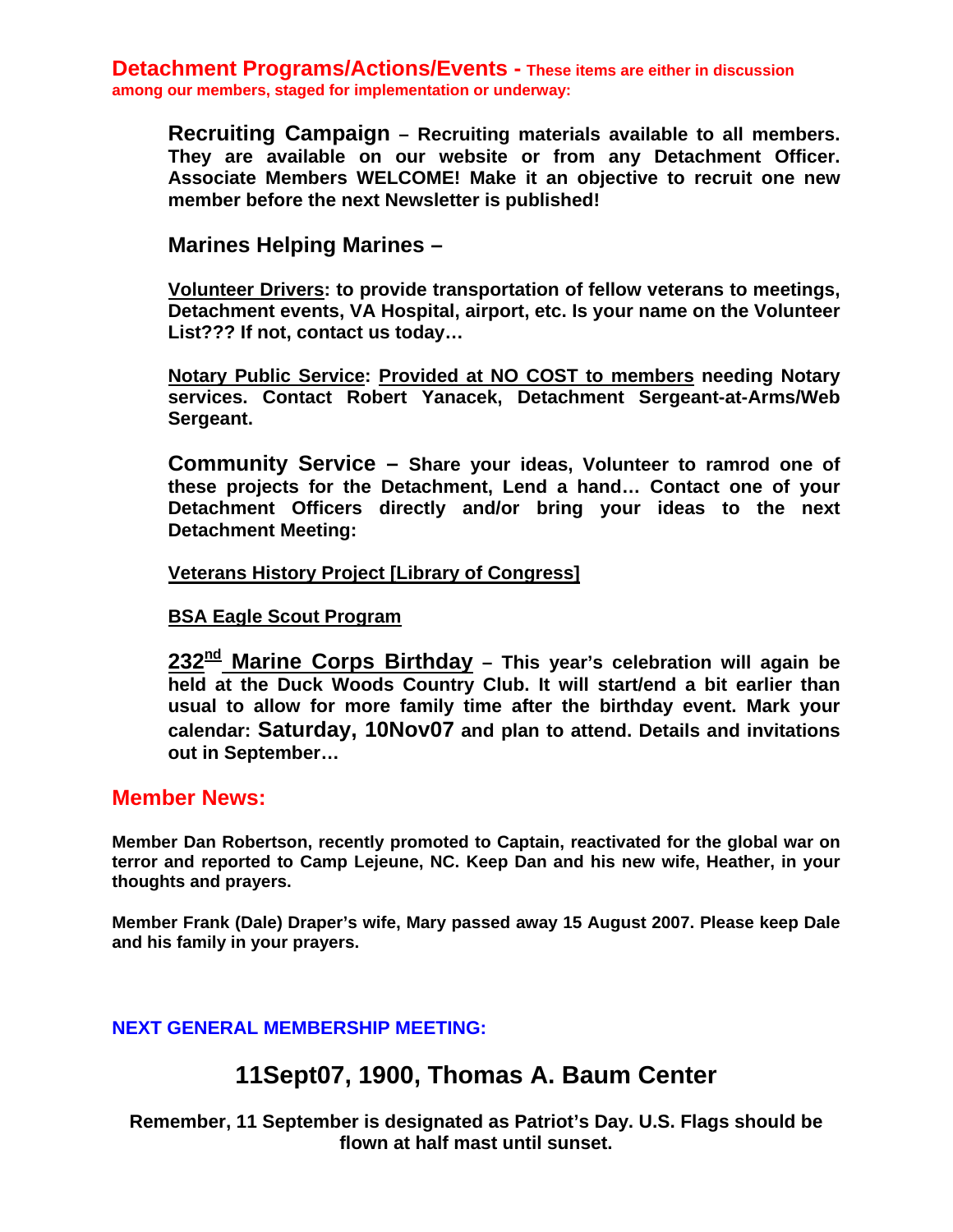**Detachment Programs/Actions/Events - These items are either in discussion among our members, staged for implementation or underway:** 

**Recruiting Campaign – Recruiting materials available to all members. They are available on our website or from any Detachment Officer. Associate Members WELCOME! Make it an objective to recruit one new member before the next Newsletter is published!** 

**Marines Helping Marines –** 

**Volunteer Drivers: to provide transportation of fellow veterans to meetings, Detachment events, VA Hospital, airport, etc. Is your name on the Volunteer List??? If not, contact us today…** 

**Notary Public Service: Provided at NO COST to members needing Notary services. Contact Robert Yanacek, Detachment Sergeant-at-Arms/Web Sergeant.** 

**Community Service – Share your ideas, Volunteer to ramrod one of these projects for the Detachment, Lend a hand… Contact one of your Detachment Officers directly and/or bring your ideas to the next Detachment Meeting:** 

**Veterans History Project [Library of Congress]**

#### **BSA Eagle Scout Program**

**232nd Marine Corps Birthday – This year's celebration will again be held at the Duck Woods Country Club. It will start/end a bit earlier than usual to allow for more family time after the birthday event. Mark your calendar: Saturday, 10Nov07 and plan to attend. Details and invitations out in September…** 

#### **Member News:**

**Member Dan Robertson, recently promoted to Captain, reactivated for the global war on terror and reported to Camp Lejeune, NC. Keep Dan and his new wife, Heather, in your thoughts and prayers.** 

**Member Frank (Dale) Draper's wife, Mary passed away 15 August 2007. Please keep Dale and his family in your prayers.** 

#### **NEXT GENERAL MEMBERSHIP MEETING:**

### **11Sept07, 1900, Thomas A. Baum Center**

**Remember, 11 September is designated as Patriot's Day. U.S. Flags should be flown at half mast until sunset.**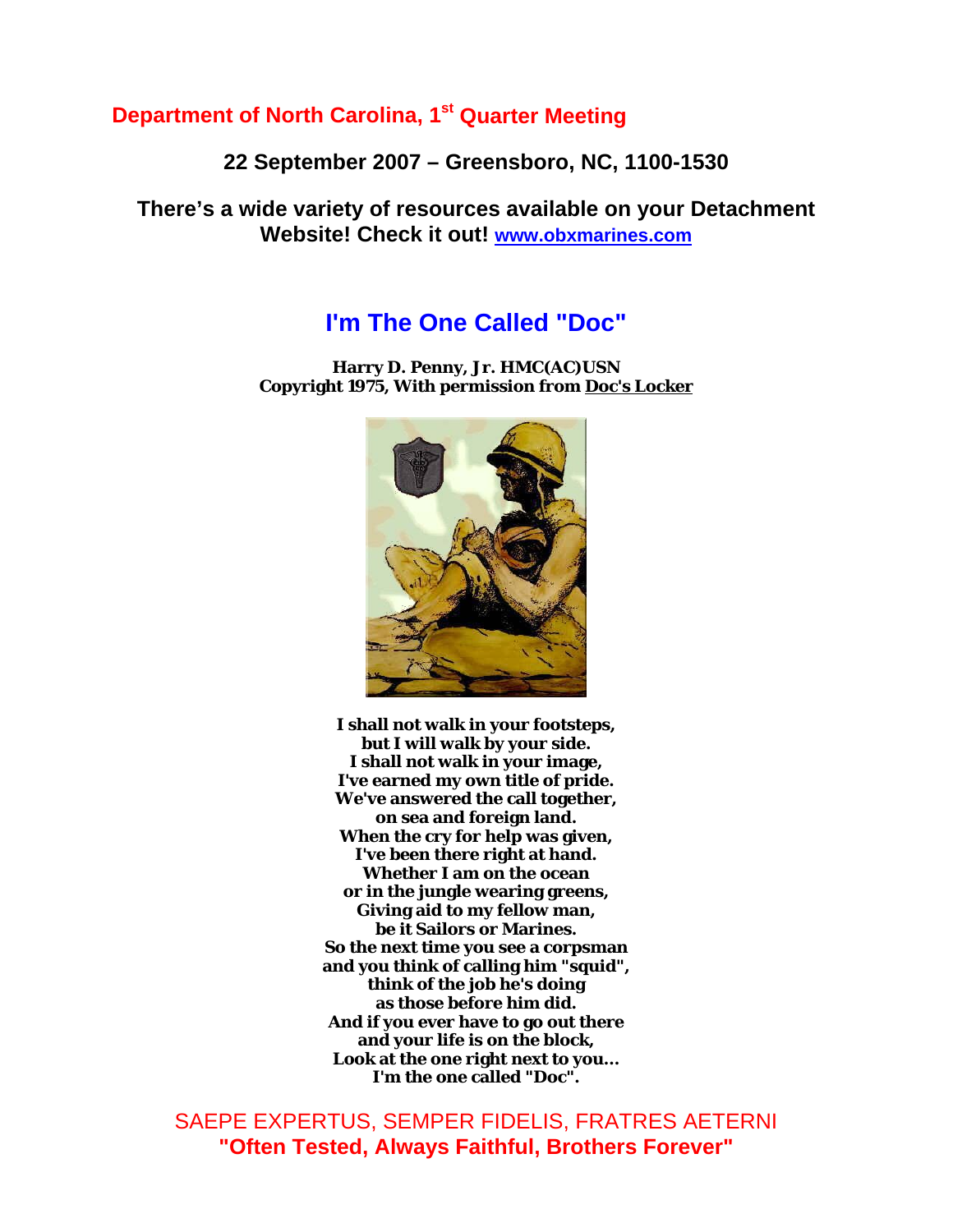### **Department of North Carolina, 1st Quarter Meeting**

**22 September 2007 – Greensboro, NC, 1100-1530** 

**There's a wide variety of resources available on your Detachment Website! Check it out! [www.obxmarines.com](http://www.obxmarines.com/)** 

### **I'm The One Called "Doc"**

**Harry D. Penny, Jr. HMC(AC)USN Copyright 1975, With permission from [Doc's Locker](http://www.geocities.com/Pentagon/Quarters/1798/)**



**I shall not walk in your footsteps, but I will walk by your side. I shall not walk in your image, I've earned my own title of pride. We've answered the call together, on sea and foreign land. When the cry for help was given, I've been there right at hand. Whether I am on the ocean or in the jungle wearing greens, Giving aid to my fellow man, be it Sailors or Marines. So the next time you see a corpsman and you think of calling him "squid", think of the job he's doing as those before him did. And if you ever have to go out there and your life is on the block, Look at the one right next to you... I'm the one called "Doc".**

SAEPE EXPERTUS, SEMPER FIDELIS, FRATRES AETERNI **"Often Tested, Always Faithful, Brothers Forever"**